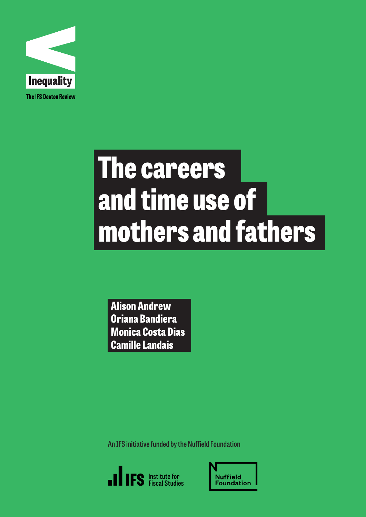

# **The careers and time use of mothers and fathers**

**Alison Andrew Oriana Bandiera Monica Costa Dias Camille Landais**

**An IFS initiative funded by the Nuffield Foundation**



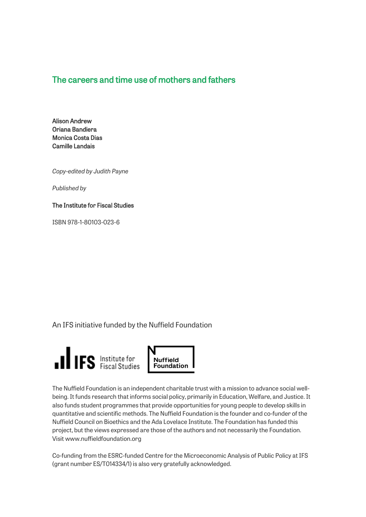#### The careers and time use of mothers and fathers

Alison Andrew Oriana Bandiera Monica Costa Dias Camille Landais

*Copy-edited by Judith Payne*

*Published by*

#### The Institute for Fiscal Studies

ISBN 978-1-80103-023-6

An IFS initiative funded by the Nuffield Foundation



The Nuffield Foundation is an independent charitable trust with a mission to advance social wellbeing. It funds research that informs social policy, primarily in Education, Welfare, and Justice. It also funds student programmes that provide opportunities for young people to develop skills in quantitative and scientific methods. The Nuffield Foundation is the founder and co-funder of the Nuffield Council on Bioethics and the Ada Lovelace Institute. The Foundation has funded this project, but the views expressed are those of the authors and not necessarily the Foundation. Visit www.nuffieldfoundation.org

Co-funding from the ESRC-funded Centre for the Microeconomic Analysis of Public Policy at IFS (grant number ES/T014334/1) is also very gratefully acknowledged.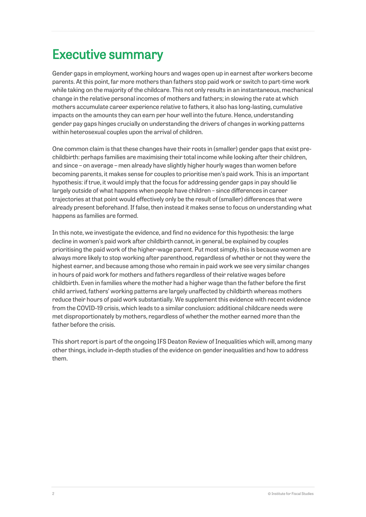# Executive summary

Gender gaps in employment, working hours and wages open up in earnest after workers become parents. At this point, far more mothers than fathers stop paid work or switch to part-time work while taking on the majority of the childcare. This not only results in an instantaneous, mechanical change in the relative personal incomes of mothers and fathers; in slowing the rate at which mothers accumulate career experience relative to fathers, it also has long-lasting, cumulative impacts on the amounts they can earn per hour well into the future. Hence, understanding gender pay gaps hinges crucially on understanding the drivers of changes in working patterns within heterosexual couples upon the arrival of children.

One common claim is that these changes have their roots in (smaller) gender gaps that exist prechildbirth: perhaps families are maximising their total income while looking after their children, and since – on average – men already have slightly higher hourly wages than women before becoming parents, it makes sense for couples to prioritise men's paid work. This is an important hypothesis: if true, it would imply that the focus for addressing gender gaps in pay should lie largely outside of what happens when people have children – since differences in career trajectories at that point would effectively only be the result of (smaller) differences that were already present beforehand. If false, then instead it makes sense to focus on understanding what happens as families are formed.

In this note, we investigate the evidence, and find no evidence for this hypothesis: the large decline in women's paid work after childbirth cannot, in general, be explained by couples prioritising the paid work of the higher-wage parent. Put most simply, this is because women are always more likely to stop working after parenthood, regardless of whether or not they were the highest earner, and because among those who remain in paid work we see very similar changes in hours of paid work for mothers and fathers regardless of their relative wages before childbirth. Even in families where the mother had a higher wage than the father before the first child arrived, fathers' working patterns are largely unaffected by childbirth whereas mothers reduce their hours of paid work substantially. We supplement this evidence with recent evidence from the COVID-19 crisis, which leads to a similar conclusion: additional childcare needs were met disproportionately by mothers, regardless of whether the mother earned more than the father before the crisis.

This short report is part of the ongoing IFS Deaton Review of Inequalities which will, among many other things, include in-depth studies of the evidence on gender inequalities and how to address them.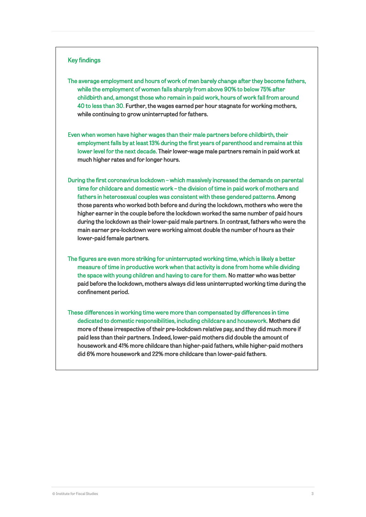#### Ĭ Key findings

The average employment and hours of work of men barely change after they become fathers, while the employment of women falls sharply from above 90% to below 75% after childbirth and, amongst those who remain in paid work, hours of work fall from around 40 to less than 30. Further, the wages earned per hour stagnate for working mothers, while continuing to grow uninterrupted for fathers. Ï

Even when women have higher wages than their male partners before childbirth, their employment falls by at least 13% during the first years of parenthood and remains at this lower level for the next decade. Their lower-wage male partners remain in paid work at much higher rates and for longer hours.

During the first coronavirus lockdown – which massively increased the demands on parental time for childcare and domestic work – the division of time in paid work of mothers and fathers in heterosexual couples was consistent with these gendered patterns. Among those parents who worked both before and during the lockdown, mothers who were the higher earner in the couple before the lockdown worked the same number of paid hours during the lockdown as their lower-paid male partners. In contrast, fathers who were the main earner pre-lockdown were working almost double the number of hours as their lower-paid female partners.

The figures are even more striking for uninterrupted working time, which is likely a better measure of time in productive work when that activity is done from home while dividing the space with young children and having to care for them. No matter who was better paid before the lockdown, mothers always did less uninterrupted working time during the confinement period.

These differences in working time were more than compensated by differences in time dedicated to domestic responsibilities, including childcare and housework. Mothers did more of these irrespective of their pre-lockdown relative pay, and they did much more if paid less than their partners. Indeed, lower-paid mothers did double the amount of housework and 41% more childcare than higher-paid fathers, while higher-paid mothers did 6% more housework and 22% more childcare than lower-paid fathers.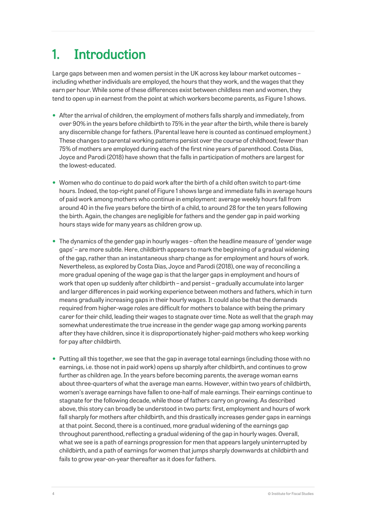# 1. Introduction

Large gaps between men and women persist in the UK across key labour market outcomes – including whether individuals are employed, the hours that they work, and the wages that they earn per hour. While some of these differences exist between childless men and women, they tend to open up in earnest from the point at which workers become parents, as Figure 1 shows.

- After the arrival of children, the employment of mothers falls sharply and immediately, from over 90% in the years before childbirth to 75% in the year after the birth, while there is barely any discernible change for fathers. (Parental leave here is counted as continued employment.) These changes to parental working patterns persist over the course of childhood; fewer than 75% of mothers are employed during each of the first nine years of parenthood. Costa Dias, Joyce and Parodi (2018) have shown that the falls in participation of mothers are largest for the lowest-educated.
- Women who do continue to do paid work after the birth of a child often switch to part-time hours. Indeed, the top-right panel of Figure 1 shows large and immediate falls in average hours of paid work among mothers who continue in employment: average weekly hours fall from around 40 in the five years before the birth of a child, to around 28 for the ten years following the birth. Again, the changes are negligible for fathers and the gender gap in paid working hours stays wide for many years as children grow up.
- The dynamics of the gender gap in hourly wages often the headline measure of 'gender wage gaps' – are more subtle. Here, childbirth appears to mark the beginning of a gradual widening of the gap, rather than an instantaneous sharp change as for employment and hours of work. Nevertheless, as explored by Costa Dias, Joyce and Parodi (2018), one way of reconciling a more gradual opening of the wage gap is that the larger gaps in employment and hours of work that open up suddenly after childbirth – and persist – gradually accumulate into larger and larger differences in paid working experience between mothers and fathers, which in turn means gradually increasing gaps in their hourly wages. It could also be that the demands required from higher-wage roles are difficult for mothers to balance with being the primary carer for their child, leading their wages to stagnate over time. Note as well that the graph may somewhat underestimate the true increase in the gender wage gap among working parents after they have children, since it is disproportionately higher-paid mothers who keep working for pay after childbirth.
- Putting all this together, we see that the gap in average total earnings (including those with no earnings, i.e. those not in paid work) opens up sharply after childbirth, and continues to grow further as children age. In the years before becoming parents, the average woman earns about three-quarters of what the average man earns. However, within two years of childbirth, women's average earnings have fallen to one-half of male earnings. Their earnings continue to stagnate for the following decade, while those of fathers carry on growing. As described above, this story can broadly be understood in two parts: first, employment and hours of work fall sharply for mothers after childbirth, and this drastically increases gender gaps in earnings at that point. Second, there is a continued, more gradual widening of the earnings gap throughout parenthood, reflecting a gradual widening of the gap in hourly wages. Overall, what we see is a path of earnings progression for men that appears largely uninterrupted by childbirth, and a path of earnings for women that jumps sharply downwards at childbirth and fails to grow year-on-year thereafter as it does for fathers.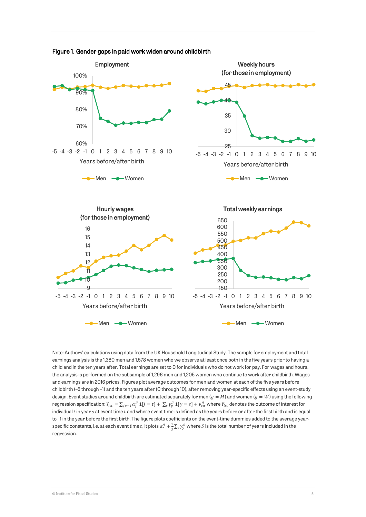



Note: Authors' calculations using data from the UK Household Longitudinal Study. The sample for employment and total earnings analysis is the 1,380 men and 1,578 women who we observe at least once both in the five years prior to having a child and in the ten years after. Total earnings are set to 0 for individuals who do not work for pay. For wages and hours, the analysis is performed on the subsample of 1,296 men and 1,205 women who continue to work after childbirth. Wages and earnings are in 2016 prices. Figures plot average outcomes for men and women at each of the five years before childbirth (–5 through –1) and the ten years after (0 through 10), after removing year-specific effects using an event-study design. Event studies around childbirth are estimated separately for men ( $g = M$ ) and women ( $g = W$ ) using the following regression specification:  $Y_{ist} = \sum_{j\neq -1} \alpha_j^g 1[j=t] + \sum_s \gamma_y^g 1[y=s] + \gamma_{ist}^g$  where  $Y_{ist}$  denotes the outcome of interest for individual  $i$  in year  $s$  at event time  $t$  and where event time is defined as the years before or after the first birth and is equal to –1 in the year before the first birth. The figure plots coefficients on the event-time dummies added to the average yearspecific constants, i.e. at each event time t, it plots  $\alpha_t^g + \frac{1}{s}\sum_s \gamma_y^g$  where S is the total number of years included in the regression.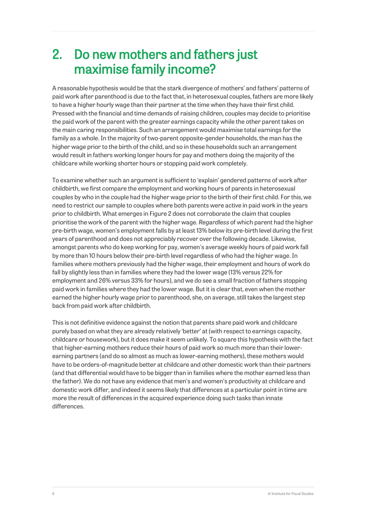### 2. Do new mothers and fathers just maximise family income?

A reasonable hypothesis would be that the stark divergence of mothers' and fathers' patterns of paid work after parenthood is due to the fact that, in heterosexual couples, fathers are more likely to have a higher hourly wage than their partner at the time when they have their first child. Pressed with the financial and time demands of raising children, couples may decide to prioritise the paid work of the parent with the greater earnings capacity while the other parent takes on the main caring responsibilities. Such an arrangement would maximise total earnings for the family as a whole. In the majority of two-parent opposite-gender households, the man has the higher wage prior to the birth of the child, and so in these households such an arrangement would result in fathers working longer hours for pay and mothers doing the majority of the childcare while working shorter hours or stopping paid work completely.

To examine whether such an argument is sufficient to 'explain' gendered patterns of work after childbirth, we first compare the employment and working hours of parents in heterosexual couples by who in the couple had the higher wage prior to the birth of their first child. For this, we need to restrict our sample to couples where both parents were active in paid work in the years prior to childbirth. What emerges in Figure 2 does not corroborate the claim that couples prioritise the work of the parent with the higher wage. *Regardless* of which parent had the higher pre-birth wage, women's employment falls by at least 13% below its pre-birth level during the first years of parenthood and does not appreciably recover over the following decade. Likewise, amongst parents who do keep working for pay, women's average weekly hours of paid work fall by more than 10 hours below their pre-birth level regardless of who had the higher wage. In families where mothers previously had the higher wage, their employment and hours of work do fall by slightly less than in families where they had the lower wage (13% versus 22% for employment and 26% versus 33% for hours), and we do see a small fraction of fathers stopping paid work in families where they had the lower wage. But it is clear that, even when the mother earned the higher hourly wage prior to parenthood, she, on average, still takes the largest step back from paid work after childbirth.

This is not definitive evidence against the notion that parents share paid work and childcare purely based on what they are already relatively 'better' at (with respect to earnings capacity, childcare or housework), but it does make it seem unlikely. To square this hypothesis with the fact that higher-earning mothers reduce their hours of paid work so much more than their lowerearning partners (and do so almost as much as lower-earning mothers), these mothers would have to be orders-of-magnitude better at childcare and other domestic work than their partners (and that differential would have to be bigger than in families where the mother earned less than the father). We do not have any evidence that men's and women's productivity at childcare and domestic work differ, and indeed it seems likely that differences at a particular point in time are more the result of differences in the acquired experience doing such tasks than innate differences.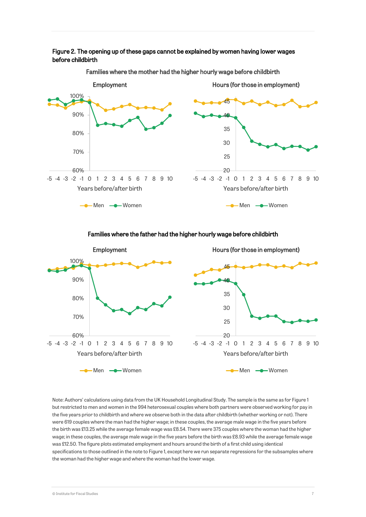



Families where the mother had the higher hourly wage before childbirth

Families where the father had the higher hourly wage before childbirth



Note: Authors' calculations using data from the UK Household Longitudinal Study. The sample is the same as for Figure 1 but restricted to men and women in the 994 heterosexual couples where both partners were observed working for pay in the five years prior to childbirth and where we observe both in the data after childbirth (whether working or not). There were 619 couples where the man had the higher wage; in these couples, the average male wage in the five years before the birth was £13.25 while the average female wage was £8.54. There were 375 couples where the woman had the higher wage; in these couples, the average male wage in the five years before the birth was £8.93 while the average female wage was £12.50. The figure plots estimated employment and hours around the birth of a first child using identical specifications to those outlined in the note to Figure 1, except here we run separate regressions for the subsamples where the woman had the higher wage and where the woman had the lower wage.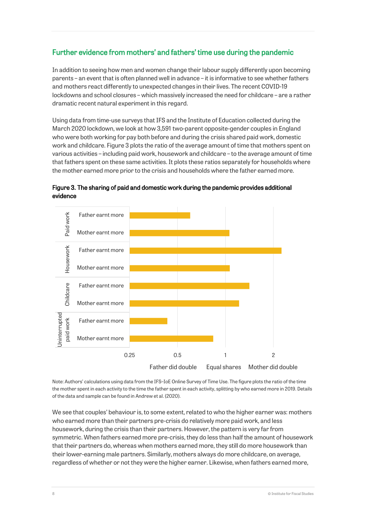#### Further evidence from mothers' and fathers' time use during the pandemic

In addition to seeing how men and women change their labour supply differently upon becoming parents – an event that is often planned well in advance – it is informative to see whether fathers and mothers react differently to unexpected changes in their lives. The recent COVID-19 lockdowns and school closures – which massively increased the need for childcare – are a rather dramatic recent natural experiment in this regard.

Using data from time-use surveys that IFS and the Institute of Education collected during the March 2020 lockdown, we look at how 3,591 two-parent opposite-gender couples in England who were both working for pay both before and during the crisis shared paid work, domestic work and childcare. Figure 3 plots the ratio of the average amount of time that mothers spent on various activities – including paid work, housework and childcare – to the average amount of time that fathers spent on these same activities. It plots these ratios separately for households where the mother earned more prior to the crisis and households where the father earned more.



Figure 3. The sharing of paid and domestic work during the pandemic provides additional evidence

Note: Authors' calculations using data from the IFS–IoE Online Survey of Time Use. The figure plots the ratio of the time the mother spent in each activity to the time the father spent in each activity, splitting by who earned more in 2019. Details of the data and sample can be found in Andrew et al. (2020).

We see that couples' behaviour is, to some extent, related to who the higher earner was: mothers who earned more than their partners pre-crisis do relatively more paid work, and less housework, during the crisis than their partners. However, the pattern is very far from symmetric. When fathers earned more pre-crisis, they do less than half the amount of housework that their partners do, whereas when mothers earned more, they still do more housework than their lower-earning male partners. Similarly, mothers always do more childcare, on average, regardless of whether or not they were the higher earner. Likewise, when fathers earned more,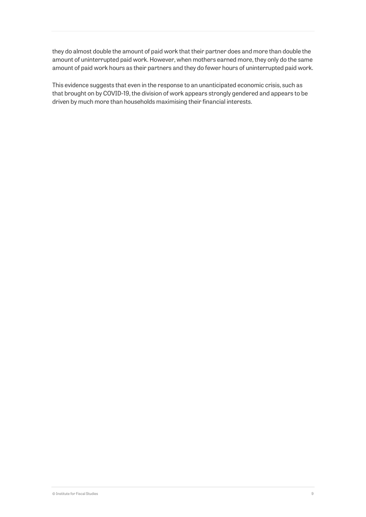they do almost double the amount of paid work that their partner does and more than double the amount of uninterrupted paid work. However, when mothers earned more, they only do the same amount of paid work hours as their partners and they do fewer hours of uninterrupted paid work.

This evidence suggests that even in the response to an unanticipated economic crisis, such as that brought on by COVID-19, the division of work appears strongly gendered and appears to be driven by much more than households maximising their financial interests.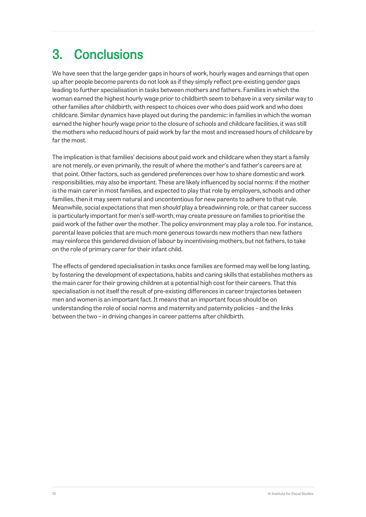# 3. Conclusions

We have seen that the large gender gaps in hours of work, hourly wages and earnings that open up after people become parents do not look as if they simply reflect pre-existing gender gaps leading to further specialisation in tasks between mothers and fathers. Families in which the woman earned the highest hourly wage prior to childbirth seem to behave in a very similar way to other families after childbirth, with respect to choices over who does paid work and who does childcare. Similar dynamics have played out during the pandemic: in families in which the woman earned the higher hourly wage prior to the closure of schools and childcare facilities, it was still the mothers who reduced hours of paid work by far the most and increased hours of childcare by far the most.

The implication is that families' decisions about paid work and childcare when they start a family are not merely, or even primarily, the result of where the mother's and father's careers are at that point. Other factors, such as gendered preferences over how to share domestic and work responsibilities, may also be important. These are likely influenced by social norms: if the mother is the main carer in most families, and expected to play that role by employers, schools and other families, then it may seem natural and uncontentious for new parents to adhere to that rule. Meanwhile, social expectations that men *should* play a breadwinning role, or that career success is particularly important for men's self-worth, may create pressure on families to prioritise the paid work of the father over the mother. The policy environment may play a role too. For instance, parental leave policies that are much more generous towards new mothers than new fathers may reinforce this gendered division of labour by incentivising mothers, but not fathers, to take on the role of primary carer for their infant child.

The effects of gendered specialisation in tasks once families are formed may well be long lasting, by fostering the development of expectations, habits and caring skills that establishes mothers as the main carer for their growing children at a potential high cost for their careers. That this specialisation is not itself the result of pre-existing differences in career trajectories between men and women is an important fact. It means that an important focus should be on understanding the role of social norms and maternity and paternity policies – and the links between the two – in driving changes in career patterns after childbirth.